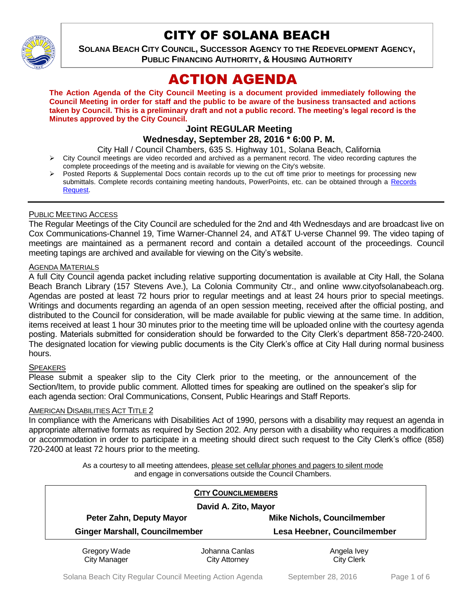

# CITY OF SOLANA BEACH

**SOLANA BEACH CITY COUNCIL, SUCCESSOR AGENCY TO THE REDEVELOPMENT AGENCY, PUBLIC FINANCING AUTHORITY, & HOUSING AUTHORITY** 

# ACTION AGENDA

**The Action Agenda of the City Council Meeting is a document provided immediately following the Council Meeting in order for staff and the public to be aware of the business transacted and actions taken by Council. This is a preliminary draft and not a public record. The meeting's legal record is the Minutes approved by the City Council.**

# **Joint REGULAR Meeting**

## **Wednesday, September 28, 2016 \* 6:00 P. M.**

City Hall / Council Chambers, 635 S. Highway 101, Solana Beach, California

- $\triangleright$  City Council meetings are video recorded and archived as a permanent record. The video recording captures the complete proceedings of the meeting and is available for viewing on the City's website.
- Posted Reports & Supplemental Docs contain records up to the cut off time prior to meetings for processing new submittals. Complete records containing meeting handouts, PowerPoints, etc. can be obtained through a [Records](http://www.ci.solana-beach.ca.us/index.asp?SEC=F5D45D10-70CE-4291-A27C-7BD633FC6742&Type=B_BASIC)  [Request.](http://www.ci.solana-beach.ca.us/index.asp?SEC=F5D45D10-70CE-4291-A27C-7BD633FC6742&Type=B_BASIC)

### PUBLIC MEETING ACCESS

The Regular Meetings of the City Council are scheduled for the 2nd and 4th Wednesdays and are broadcast live on Cox Communications-Channel 19, Time Warner-Channel 24, and AT&T U-verse Channel 99. The video taping of meetings are maintained as a permanent record and contain a detailed account of the proceedings. Council meeting tapings are archived and available for viewing on the City's website.

#### AGENDA MATERIALS

A full City Council agenda packet including relative supporting documentation is available at City Hall, the Solana Beach Branch Library (157 Stevens Ave.), La Colonia Community Ctr., and online www.cityofsolanabeach.org. Agendas are posted at least 72 hours prior to regular meetings and at least 24 hours prior to special meetings. Writings and documents regarding an agenda of an open session meeting, received after the official posting, and distributed to the Council for consideration, will be made available for public viewing at the same time. In addition, items received at least 1 hour 30 minutes prior to the meeting time will be uploaded online with the courtesy agenda posting. Materials submitted for consideration should be forwarded to the City Clerk's department 858-720-2400. The designated location for viewing public documents is the City Clerk's office at City Hall during normal business hours.

### **SPEAKERS**

Please submit a speaker slip to the City Clerk prior to the meeting, or the announcement of the Section/Item, to provide public comment. Allotted times for speaking are outlined on the speaker's slip for each agenda section: Oral Communications, Consent, Public Hearings and Staff Reports.

### AMERICAN DISABILITIES ACT TITLE 2

In compliance with the Americans with Disabilities Act of 1990, persons with a disability may request an agenda in appropriate alternative formats as required by Section 202. Any person with a disability who requires a modification or accommodation in order to participate in a meeting should direct such request to the City Clerk's office (858) 720-2400 at least 72 hours prior to the meeting.

> As a courtesy to all meeting attendees, please set cellular phones and pagers to silent mode and engage in conversations outside the Council Chambers.

|                                                                   | <b>CITY COUNCILMEMBERS</b> |                                                                   |
|-------------------------------------------------------------------|----------------------------|-------------------------------------------------------------------|
| David A. Zito, Mayor                                              |                            |                                                                   |
| Peter Zahn, Deputy Mayor<br><b>Ginger Marshall, Councilmember</b> |                            | <b>Mike Nichols, Councilmember</b><br>Lesa Heebner, Councilmember |
|                                                                   |                            |                                                                   |
| <b>City Manager</b>                                               | <b>City Attorney</b>       | <b>City Clerk</b>                                                 |

Solana Beach City Regular Council Meeting Action Agenda September 28, 2016 Page 1 of 6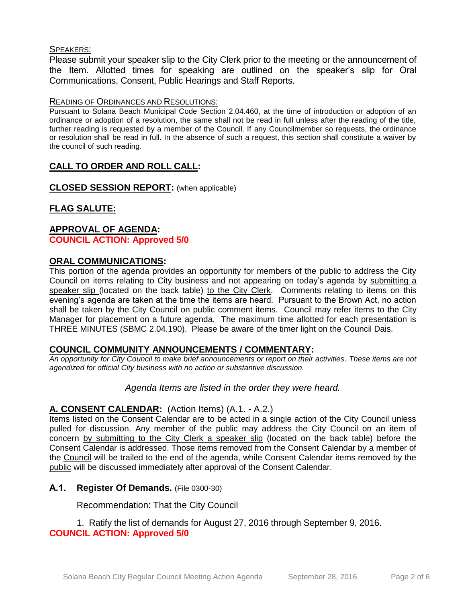### SPEAKERS:

Please submit your speaker slip to the City Clerk prior to the meeting or the announcement of the Item. Allotted times for speaking are outlined on the speaker's slip for Oral Communications, Consent, Public Hearings and Staff Reports.

#### READING OF ORDINANCES AND RESOLUTIONS:

Pursuant to Solana Beach Municipal Code Section 2.04.460, at the time of introduction or adoption of an ordinance or adoption of a resolution, the same shall not be read in full unless after the reading of the title, further reading is requested by a member of the Council. If any Councilmember so requests, the ordinance or resolution shall be read in full. In the absence of such a request, this section shall constitute a waiver by the council of such reading.

## **CALL TO ORDER AND ROLL CALL:**

**CLOSED SESSION REPORT:** (when applicable)

# **FLAG SALUTE:**

## **APPROVAL OF AGENDA: COUNCIL ACTION: Approved 5/0**

### **ORAL COMMUNICATIONS:**

This portion of the agenda provides an opportunity for members of the public to address the City Council on items relating to City business and not appearing on today's agenda by submitting a speaker slip (located on the back table) to the City Clerk. Comments relating to items on this evening's agenda are taken at the time the items are heard. Pursuant to the Brown Act, no action shall be taken by the City Council on public comment items. Council may refer items to the City Manager for placement on a future agenda. The maximum time allotted for each presentation is THREE MINUTES (SBMC 2.04.190). Please be aware of the timer light on the Council Dais.

### **COUNCIL COMMUNITY ANNOUNCEMENTS / COMMENTARY:**

*An opportunity for City Council to make brief announcements or report on their activities. These items are not agendized for official City business with no action or substantive discussion.* 

### *Agenda Items are listed in the order they were heard.*

### **A. CONSENT CALENDAR:** (Action Items) (A.1. - A.2.)

Items listed on the Consent Calendar are to be acted in a single action of the City Council unless pulled for discussion. Any member of the public may address the City Council on an item of concern by submitting to the City Clerk a speaker slip (located on the back table) before the Consent Calendar is addressed. Those items removed from the Consent Calendar by a member of the Council will be trailed to the end of the agenda, while Consent Calendar items removed by the public will be discussed immediately after approval of the Consent Calendar.

### **A.1. Register Of Demands.** (File 0300-30)

### Recommendation: That the City Council

1. Ratify the list of demands for August 27, 2016 through September 9, 2016. **COUNCIL ACTION: Approved 5/0**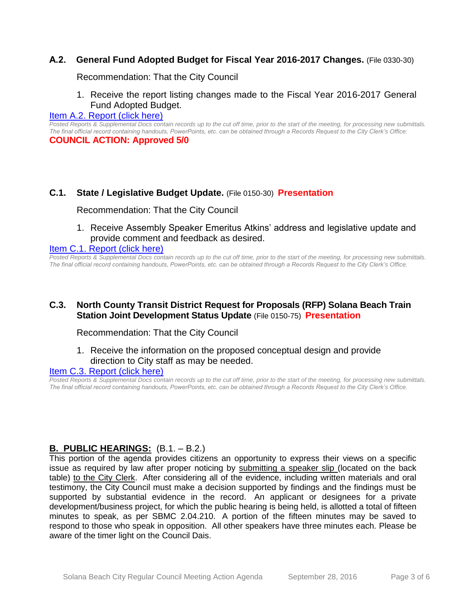## **A.2. General Fund Adopted Budget for Fiscal Year 2016-2017 Changes.** (File 0330-30)

Recommendation: That the City Council

1. Receive the report listing changes made to the Fiscal Year 2016-2017 General Fund Adopted Budget.

#### [Item A.2. Report \(click here\)](https://solanabeach.govoffice3.com/vertical/Sites/%7B840804C2-F869-4904-9AE3-720581350CE7%7D/uploads/Item_A.2._Report_(click_here)_09-28-16.PDF)

*Posted Reports & Supplemental Docs contain records up to the cut off time, prior to the start of the meeting, for processing new submittals. The final official record containing handouts, PowerPoints, etc. can be obtained through a Records Request to the City Clerk's Office.* **COUNCIL ACTION: Approved 5/0**

### **C.1. State / Legislative Budget Update.** (File 0150-30) **Presentation**

Recommendation: That the City Council

1. Receive Assembly Speaker Emeritus Atkins' address and legislative update and provide comment and feedback as desired.

#### [Item C.1. Report \(click here\)](https://solanabeach.govoffice3.com/vertical/Sites/%7B840804C2-F869-4904-9AE3-720581350CE7%7D/uploads/Item_C.1._Report_(click_here)_09-28-16.pdf)

*Posted Reports & Supplemental Docs contain records up to the cut off time, prior to the start of the meeting, for processing new submittals. The final official record containing handouts, PowerPoints, etc. can be obtained through a Records Request to the City Clerk's Office.*

## **C.3. North County Transit District Request for Proposals (RFP) Solana Beach Train Station Joint Development Status Update** (File 0150-75) **Presentation**

Recommendation: That the City Council

1. Receive the information on the proposed conceptual design and provide direction to City staff as may be needed.

#### [Item C.3. Report \(click here\)](https://solanabeach.govoffice3.com/vertical/Sites/%7B840804C2-F869-4904-9AE3-720581350CE7%7D/uploads/Item_C.3._Report_(click_here)_09-28-2016.PDF)

*Posted Reports & Supplemental Docs contain records up to the cut off time, prior to the start of the meeting, for processing new submittals. The final official record containing handouts, PowerPoints, etc. can be obtained through a Records Request to the City Clerk's Office.*

## **B. PUBLIC HEARINGS:** (B.1. – B.2.)

This portion of the agenda provides citizens an opportunity to express their views on a specific issue as required by law after proper noticing by submitting a speaker slip (located on the back table) to the City Clerk. After considering all of the evidence, including written materials and oral testimony, the City Council must make a decision supported by findings and the findings must be supported by substantial evidence in the record. An applicant or designees for a private development/business project, for which the public hearing is being held, is allotted a total of fifteen minutes to speak, as per SBMC 2.04.210. A portion of the fifteen minutes may be saved to respond to those who speak in opposition. All other speakers have three minutes each. Please be aware of the timer light on the Council Dais.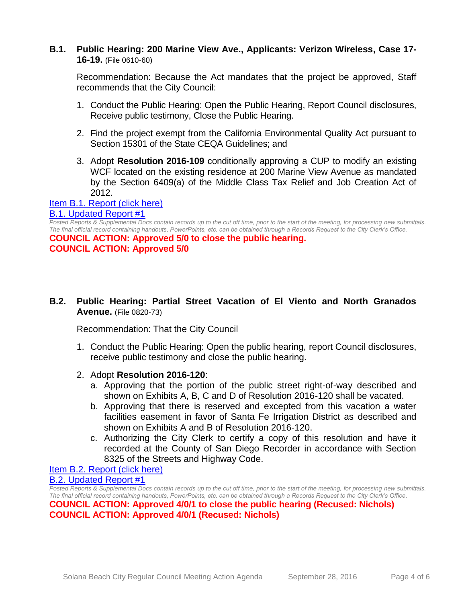## **B.1. Public Hearing: 200 Marine View Ave., Applicants: Verizon Wireless, Case 17- 16-19.** (File 0610-60)

Recommendation: Because the Act mandates that the project be approved, Staff recommends that the City Council:

- 1. Conduct the Public Hearing: Open the Public Hearing, Report Council disclosures, Receive public testimony, Close the Public Hearing.
- 2. Find the project exempt from the California Environmental Quality Act pursuant to Section 15301 of the State CEQA Guidelines; and
- 3. Adopt **Resolution 2016-109** conditionally approving a CUP to modify an existing WCF located on the existing residence at 200 Marine View Avenue as mandated by the Section 6409(a) of the Middle Class Tax Relief and Job Creation Act of 2012.

#### [Item B.1. Report \(click here\)](https://solanabeach.govoffice3.com/vertical/Sites/%7B840804C2-F869-4904-9AE3-720581350CE7%7D/uploads/Item_B.1._Report_(click_here)_09-28-16.PDF) [B.1. Updated Report #1](https://solanabeach.govoffice3.com/vertical/Sites/%7B840804C2-F869-4904-9AE3-720581350CE7%7D/uploads/B.1._Updated_Report_1_09-28-16.pdf)

*Posted Reports & Supplemental Docs contain records up to the cut off time, prior to the start of the meeting, for processing new submittals. The final official record containing handouts, PowerPoints, etc. can be obtained through a Records Request to the City Clerk's Office.*

**COUNCIL ACTION: Approved 5/0 to close the public hearing. COUNCIL ACTION: Approved 5/0**

**B.2. Public Hearing: Partial Street Vacation of El Viento and North Granados Avenue.** (File 0820-73)

Recommendation: That the City Council

- 1. Conduct the Public Hearing: Open the public hearing, report Council disclosures, receive public testimony and close the public hearing.
- 2. Adopt **Resolution 2016-120**:
	- a. Approving that the portion of the public street right-of-way described and shown on Exhibits A, B, C and D of Resolution 2016-120 shall be vacated.
	- b. Approving that there is reserved and excepted from this vacation a water facilities easement in favor of Santa Fe Irrigation District as described and shown on Exhibits A and B of Resolution 2016-120.
	- c. Authorizing the City Clerk to certify a copy of this resolution and have it recorded at the County of San Diego Recorder in accordance with Section 8325 of the Streets and Highway Code.

[Item B.2. Report \(click here\)](https://solanabeach.govoffice3.com/vertical/Sites/%7B840804C2-F869-4904-9AE3-720581350CE7%7D/uploads/Item_B.2._Report_(click_here)_09-28-16.PDF) [B.2. Updated Report #1](https://solanabeach.govoffice3.com/vertical/Sites/%7B840804C2-F869-4904-9AE3-720581350CE7%7D/uploads/B.2._Updated_Report_1_09-28-16.pdf)

*Posted Reports & Supplemental Docs contain records up to the cut off time, prior to the start of the meeting, for processing new submittals. The final official record containing handouts, PowerPoints, etc. can be obtained through a Records Request to the City Clerk's Office.* **COUNCIL ACTION: Approved 4/0/1 to close the public hearing (Recused: Nichols) COUNCIL ACTION: Approved 4/0/1 (Recused: Nichols)**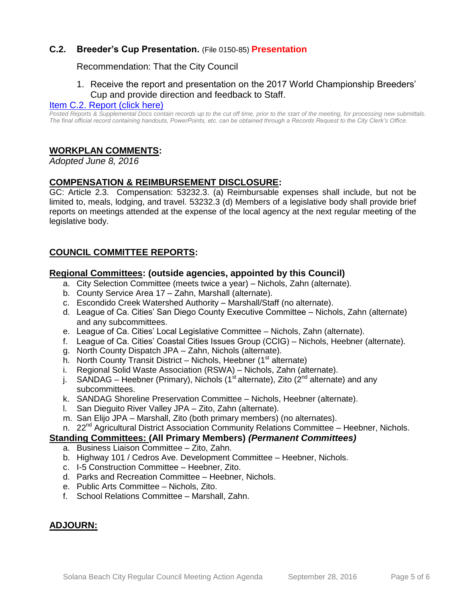# **C.2. Breeder's Cup Presentation.** (File 0150-85) **Presentation**

### Recommendation: That the City Council

## 1. Receive the report and presentation on the 2017 World Championship Breeders' Cup and provide direction and feedback to Staff.

#### [Item C.2. Report \(click here\)](https://solanabeach.govoffice3.com/vertical/Sites/%7B840804C2-F869-4904-9AE3-720581350CE7%7D/uploads/Item_C.2._Report_(click_here)_09-28-16.pdf)

*Posted Reports & Supplemental Docs contain records up to the cut off time, prior to the start of the meeting, for processing new submittals. The final official record containing handouts, PowerPoints, etc. can be obtained through a Records Request to the City Clerk's Office.*

## **WORKPLAN COMMENTS:**

*Adopted June 8, 2016*

## **COMPENSATION & REIMBURSEMENT DISCLOSURE:**

GC: Article 2.3. Compensation: 53232.3. (a) Reimbursable expenses shall include, but not be limited to, meals, lodging, and travel. 53232.3 (d) Members of a legislative body shall provide brief reports on meetings attended at the expense of the local agency at the next regular meeting of the legislative body.

## **COUNCIL COMMITTEE REPORTS:**

### **Regional Committees: (outside agencies, appointed by this Council)**

- a. City Selection Committee (meets twice a year) Nichols, Zahn (alternate).
- b. County Service Area 17 Zahn, Marshall (alternate).
- c. Escondido Creek Watershed Authority Marshall/Staff (no alternate).
- d. League of Ca. Cities' San Diego County Executive Committee Nichols, Zahn (alternate) and any subcommittees.
- e. League of Ca. Cities' Local Legislative Committee Nichols, Zahn (alternate).
- f. League of Ca. Cities' Coastal Cities Issues Group (CCIG) Nichols, Heebner (alternate).
- g. North County Dispatch JPA Zahn, Nichols (alternate).
- h. North County Transit District Nichols, Heebner  $(1<sup>st</sup>$  alternate)
- i. Regional Solid Waste Association (RSWA) Nichols, Zahn (alternate).
- j. SANDAG Heebner (Primary), Nichols (1<sup>st</sup> alternate), Zito (2<sup>nd</sup> alternate) and any subcommittees.
- k. SANDAG Shoreline Preservation Committee Nichols, Heebner (alternate).
- l. San Dieguito River Valley JPA Zito, Zahn (alternate).
- m. San Elijo JPA Marshall, Zito (both primary members) (no alternates).
- n. 22<sup>nd</sup> Agricultural District Association Community Relations Committee Heebner, Nichols.

#### **Standing Committees: (All Primary Members)** *(Permanent Committees)*

- a. Business Liaison Committee Zito, Zahn.
- b. Highway 101 / Cedros Ave. Development Committee Heebner, Nichols.
- c. I-5 Construction Committee Heebner, Zito.
- d. Parks and Recreation Committee Heebner, Nichols.
- e. Public Arts Committee Nichols, Zito.
- f. School Relations Committee Marshall, Zahn.

## **ADJOURN:**